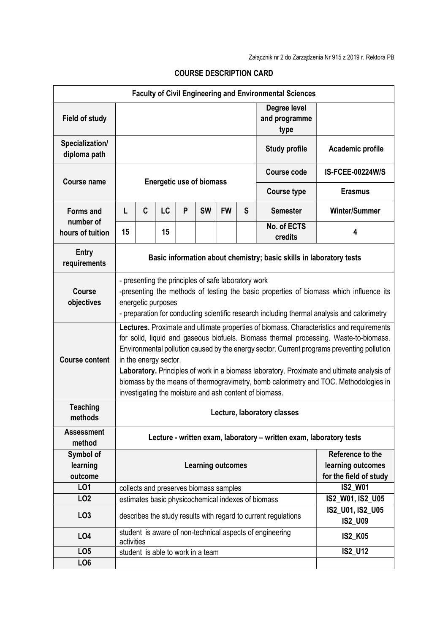| <b>Faculty of Civil Engineering and Environmental Sciences</b> |                                                                                                                                                                                                                                                                                                                                                                                                                                                                                                                                                          |   |    |   |                                   |                                             |   |                                                                |                                    |  |
|----------------------------------------------------------------|----------------------------------------------------------------------------------------------------------------------------------------------------------------------------------------------------------------------------------------------------------------------------------------------------------------------------------------------------------------------------------------------------------------------------------------------------------------------------------------------------------------------------------------------------------|---|----|---|-----------------------------------|---------------------------------------------|---|----------------------------------------------------------------|------------------------------------|--|
| <b>Field of study</b>                                          |                                                                                                                                                                                                                                                                                                                                                                                                                                                                                                                                                          |   |    |   |                                   |                                             |   | Degree level<br>and programme<br>type                          |                                    |  |
| Specialization/<br>diploma path                                |                                                                                                                                                                                                                                                                                                                                                                                                                                                                                                                                                          |   |    |   |                                   |                                             |   | <b>Study profile</b>                                           | Academic profile                   |  |
| <b>Course name</b>                                             | <b>Energetic use of biomass</b>                                                                                                                                                                                                                                                                                                                                                                                                                                                                                                                          |   |    |   |                                   |                                             |   | <b>Course code</b>                                             | <b>IS-FCEE-00224W/S</b>            |  |
|                                                                |                                                                                                                                                                                                                                                                                                                                                                                                                                                                                                                                                          |   |    |   |                                   |                                             |   | <b>Course type</b>                                             | <b>Erasmus</b>                     |  |
| <b>Forms and</b>                                               | L                                                                                                                                                                                                                                                                                                                                                                                                                                                                                                                                                        | C | LC | P | <b>SW</b>                         | <b>FW</b>                                   | S | <b>Semester</b>                                                | <b>Winter/Summer</b>               |  |
| number of<br>hours of tuition                                  | 15                                                                                                                                                                                                                                                                                                                                                                                                                                                                                                                                                       |   | 15 |   |                                   |                                             |   | No. of ECTS<br>credits                                         | 4                                  |  |
| <b>Entry</b><br>requirements                                   | Basic information about chemistry; basic skills in laboratory tests                                                                                                                                                                                                                                                                                                                                                                                                                                                                                      |   |    |   |                                   |                                             |   |                                                                |                                    |  |
| <b>Course</b><br>objectives                                    | - presenting the principles of safe laboratory work<br>-presenting the methods of testing the basic properties of biomass which influence its<br>energetic purposes<br>- preparation for conducting scientific research including thermal analysis and calorimetry                                                                                                                                                                                                                                                                                       |   |    |   |                                   |                                             |   |                                                                |                                    |  |
| <b>Course content</b>                                          | Lectures. Proximate and ultimate properties of biomass. Characteristics and requirements<br>for solid, liquid and gaseous biofuels. Biomass thermal processing. Waste-to-biomass.<br>Environmental pollution caused by the energy sector. Current programs preventing pollution<br>in the energy sector.<br>Laboratory. Principles of work in a biomass laboratory. Proximate and ultimate analysis of<br>biomass by the means of thermogravimetry, bomb calorimetry and TOC. Methodologies in<br>investigating the moisture and ash content of biomass. |   |    |   |                                   |                                             |   |                                                                |                                    |  |
| <b>Teaching</b><br>methods                                     | Lecture, laboratory classes                                                                                                                                                                                                                                                                                                                                                                                                                                                                                                                              |   |    |   |                                   |                                             |   |                                                                |                                    |  |
| <b>Assessment</b><br>method                                    | Lecture - written exam, laboratory - written exam, laboratory tests                                                                                                                                                                                                                                                                                                                                                                                                                                                                                      |   |    |   |                                   |                                             |   |                                                                |                                    |  |
| Symbol of<br>learning<br>outcome                               | Reference to the<br><b>Learning outcomes</b>                                                                                                                                                                                                                                                                                                                                                                                                                                                                                                             |   |    |   |                                   | learning outcomes<br>for the field of study |   |                                                                |                                    |  |
| LO1                                                            | collects and preserves biomass samples                                                                                                                                                                                                                                                                                                                                                                                                                                                                                                                   |   |    |   |                                   | <b>IS2 W01</b>                              |   |                                                                |                                    |  |
| LO <sub>2</sub>                                                |                                                                                                                                                                                                                                                                                                                                                                                                                                                                                                                                                          |   |    |   |                                   |                                             |   | estimates basic physicochemical indexes of biomass             | IS2_W01, IS2_U05                   |  |
| LO <sub>3</sub>                                                |                                                                                                                                                                                                                                                                                                                                                                                                                                                                                                                                                          |   |    |   |                                   |                                             |   | describes the study results with regard to current regulations | IS2_U01, IS2_U05<br><b>IS2_U09</b> |  |
| LO <sub>4</sub>                                                | activities                                                                                                                                                                                                                                                                                                                                                                                                                                                                                                                                               |   |    |   |                                   |                                             |   | student is aware of non-technical aspects of engineering       | <b>IS2_K05</b>                     |  |
| LO <sub>5</sub>                                                |                                                                                                                                                                                                                                                                                                                                                                                                                                                                                                                                                          |   |    |   | student is able to work in a team |                                             |   |                                                                | <b>IS2_U12</b>                     |  |
| LO <sub>6</sub>                                                |                                                                                                                                                                                                                                                                                                                                                                                                                                                                                                                                                          |   |    |   |                                   |                                             |   |                                                                |                                    |  |

## COURSE DESCRIPTION CARD